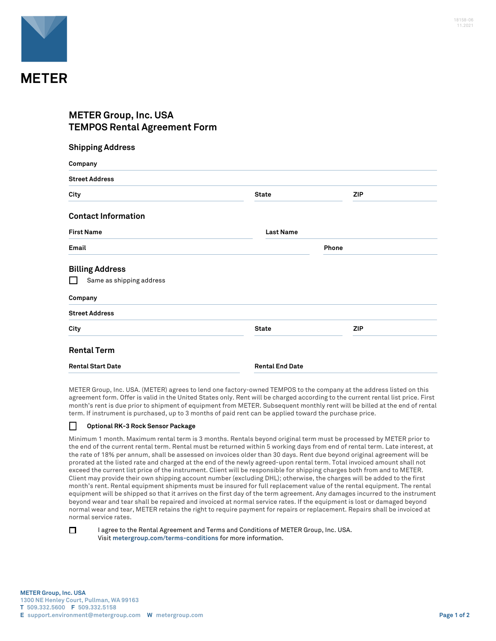

## **METER Group, Inc. USA TEMPOS Rental Agreement Form**

| <b>Shipping Address</b>    |                        |            |  |
|----------------------------|------------------------|------------|--|
| Company                    |                        |            |  |
| <b>Street Address</b>      |                        |            |  |
| City                       | <b>State</b>           | <b>ZIP</b> |  |
| <b>Contact Information</b> |                        |            |  |
| <b>First Name</b>          | <b>Last Name</b>       |            |  |
| Email                      |                        | Phone      |  |
| <b>Billing Address</b>     |                        |            |  |
| Same as shipping address   |                        |            |  |
| Company                    |                        |            |  |
| <b>Street Address</b>      |                        |            |  |
| City                       | <b>State</b>           | <b>ZIP</b> |  |
| <b>Rental Term</b>         |                        |            |  |
| <b>Rental Start Date</b>   | <b>Rental End Date</b> |            |  |

METER Group, Inc. USA. (METER) agrees to lend one factory-owned TEMPOS to the company at the address listed on this agreement form. Offer is valid in the United States only. Rent will be charged according to the current rental list price. First month's rent is due prior to shipment of equipment from METER. Subsequent monthly rent will be billed at the end of rental term. If instrument is purchased, up to 3 months of paid rent can be applied toward the purchase price.

## $\Box$ **Optional RK-3 Rock Sensor Package**

Minimum 1 month. Maximum rental term is 3 months. Rentals beyond original term must be processed by METER prior to the end of the current rental term. Rental must be returned within 5 working days from end of rental term. Late interest, at the rate of 18% per annum, shall be assessed on invoices older than 30 days. Rent due beyond original agreement will be prorated at the listed rate and charged at the end of the newly agreed-upon rental term. Total invoiced amount shall not exceed the current list price of the instrument. Client will be responsible for shipping charges both from and to METER. Client may provide their own shipping account number (excluding DHL); otherwise, the charges will be added to the first month's rent. Rental equipment shipments must be insured for full replacement value of the rental equipment. The rental equipment will be shipped so that it arrives on the first day of the term agreement. Any damages incurred to the instrument beyond wear and tear shall be repaired and invoiced at normal service rates. If the equipment is lost or damaged beyond normal wear and tear, METER retains the right to require payment for repairs or replacement. Repairs shall be invoiced at normal service rates.

□

I agree to the Rental Agreement and Terms and Conditions of METER Group, Inc. USA. Visit **metergroup.com/terms-conditions** for more information.